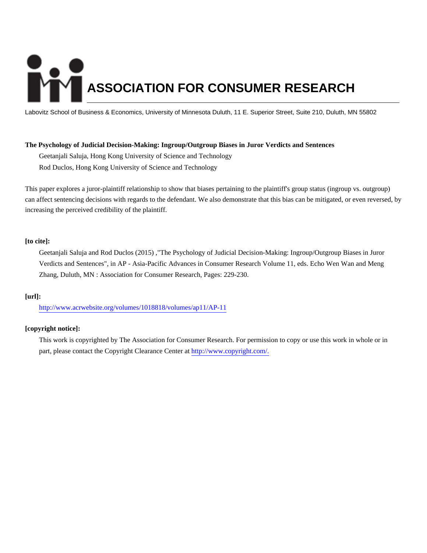# **ASSOCIATION FOR CONSUMER RESEARCH**

Labovitz School of Business & Economics, University of Minnesota Duluth, 11 E. Superior Street, Suite 210, Duluth, MN 55802

## **The Psychology of Judicial Decision-Making: Ingroup/Outgroup Biases in Juror Verdicts and Sentences**

Geetanjali Saluja, Hong Kong University of Science and Technology

Rod Duclos, Hong Kong University of Science and Technology

This paper explores a juror-plaintiff relationship to show that biases pertaining to the plaintiff's group status (ingroup vs. outgroup) can affect sentencing decisions with regards to the defendant. We also demonstrate that this bias can be mitigated, or even reversed, by increasing the perceived credibility of the plaintiff.

# **[to cite]:**

Geetanjali Saluja and Rod Duclos (2015) ,"The Psychology of Judicial Decision-Making: Ingroup/Outgroup Biases in Juror Verdicts and Sentences", in AP - Asia-Pacific Advances in Consumer Research Volume 11, eds. Echo Wen Wan and Meng Zhang, Duluth, MN : Association for Consumer Research, Pages: 229-230.

# **[url]:**

<http://www.acrwebsite.org/volumes/1018818/volumes/ap11/AP-11>

# **[copyright notice]:**

This work is copyrighted by The Association for Consumer Research. For permission to copy or use this work in whole or in part, please contact the Copyright Clearance Center at [http://www.copyright.com/.](http://www.copyright.com/)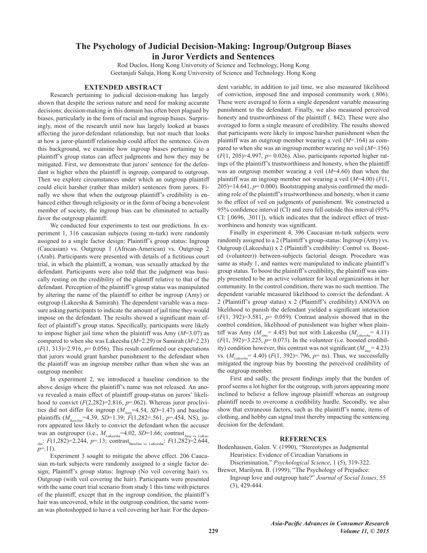# The Psychology of Judicial Decision-Making: Ingroup/Outgroup Biases in Juror Verdicts and Sentences

Rod Duclos, Hong Kong University of Science and Technology, Hong Kong Geetanjali Saluja, Hong Kong University of Science and Technology. Hong Kong

## **EXTENDED ABSTRACT**

Research pertaining to judicial decision-making has largely shown that despite the serious nature and need for making accurate decisions; decision-making in this domain has often been plagued by biases, particularly in the form of racial and ingroup biases. Surprisingly, most of the research until now has largely looked at biases affecting the juror-defendant relationship, but not much that looks at how a juror-plaintiff relationship could affect the sentence. Given this background, we examine how ingroup biases pertaining to a plaintiff's group status can affect judgments and how they may be mitigated. First, we demonstrate that jurors' sentence for the defendant is higher when the plaintiff is ingroup, compared to outgroup. Then we explore circumstances under which an outgroup plaintiff could elicit harsher (rather than milder) sentences from jurors. Finally we show that when the outgroup plaintiff's credibility is enhanced either through religiosity or in the form of being a benevolent member of society, the ingroup bias can be eliminated to actually favor the outgroup plaintiff.

We conducted four experiments to test our predictions. In experiment 1, 316 caucasian subjects (using m-turk) were randomly assigned to a single factor design: Plaintiff's group status: Ingroup (Caucasian) vs. Outgroup 1 (African-American) vs. Outgroup 2 (Arab). Participants were presented with details of a fictitious court trial, in which the plaintiff, a woman, was sexually attacked by the defendant. Participants were also told that the judgment was basically resting on the credibility of the plaintiff relative to that of the defendant. Perception of the plaintiff's group status was manipulated by altering the name of the plaintiff to either be ingroup (Amy) or outgroup (Lakeesha & Samirah). The dependent variable was a measure asking participants to indicate the amount of jail time they would impose on the defendant. The results showed a significant main effect of plaintiff's group status. Specifically, participants were likely to impose higher jail time when the plaintiff was Amy  $(M=3.07)$  as compared to when she was Lakeesha ( $M=2.29$ ) or Samirah ( $M=2.23$ )  $(F(1, 313)=2.916, p=0.056)$ . This result confirmed our expectations that jurors would grant harsher punishment to the defendant when the plaintiff was an ingroup member rather than when she was an outgroup member.

In experiment 2, we introduced a baseline condition to the above design where the plaintiff's name was not released. An anova revealed a main effect of plaintiff group-status on jurors' likelihood to convict  $(F(2,282)=2.816, p=.062)$ . Whereas juror proclivities did not differ for ingroup  $(M_{\text{Amv}}=4.54, SD=1.47)$  and baseline plaintiffs ( $M_{\text{baseline}}$ =4.39, SD=1.39;  $\vec{F}$ (1,282=.561, p=.454, NS), jurors appeared less likely to convict the defendant when the accuser was an outgrouper (i.e.,  $M_{\text{Lakeesha}} = 4.02$ , SD=1.66; contrast<sub>Amy vs. LaKee</sub>  $_{\text{sha}}$ :  $F(1,282)=2.244$ ,  $p=.13$ ; contrast<sub>Baseline vs. LaKeesha</sub>:  $F(1,282)=2.644$ ,  $p=11$ ).

Experiment 3 sought to mitigate the above effect. 206 Caucasian m-turk subjects were randomly assigned to a single factor design; Plaintiff's group status: Ingroup (No veil covering hair) vs. Outgroup (with veil covering the hair). Participants were presented with the same court trial scenario from study 1 this time with pictures of the plaintiff, except that in the ingroup condition, the plaintiff's hair was uncovered, while in the outgroup condition, the same woman was photoshopped to have a veil covering her hair. For the dependent variable, in addition to jail time, we also measured likelihood of conviction, imposed fine and imposed community work (.806). These were averaged to form a single dependent variable measuring punishment to the defendant. Finally, we also measured perceived honesty and trustworthiness of the plaintiff ( $. 842$ ). These were also averaged to form a single measure of credibility. The results showed that participants were likely to impose harsher punishment when the plaintiff was an outgroup member wearing a veil  $(M=164)$  as compared to when she was an ingroup member wearing no veil  $(M=156)$  $(F(1, 205)=4.997, p= 0.026)$ . Also, participants reported higher ratings of the plaintiff's trustworthiness and honesty, when the plaintiff was an outgroup member wearing a veil  $(M=4.60)$  than when the plaintiff was an ingroup member not wearing a veil  $(M=4.00)$  (F(1,  $205$ =14.641,  $p=0.000$ ). Bootstrapping analysis confirmed the mediating role of the plaintiff's trustworthiness and honesty, when it came to the effect of veil on judgments of punishment. We constructed a 95% confidence interval (CI) and zero fell outside this interval (95% CI: [.0696, .3011]), which indicates that the indirect effect of trustworthiness and honesty was significant.

Finally in experiment 4, 396 Caucasian m-turk subjects were randomly assigned to a 2 (Plaintiff's group-status: Ingroup (Amy) vs. Outgroup (Lakeesha)) x 2 (Plaintiff's credibility: Control vs. Boosted (volunteer)) between-subjects factorial design. Procedure was same as study 1, and names were manipulated to indicate plaintiff's group status. To boost the plaintiff's credibility, the plaintiff was simply presented to be an active volunteer for local organizations in her community. In the control condition, there was no such mention. The dependent variable measured likelihood to convict the defendant. A 2 (Plaintiff's group status) x 2 (Plaintiff's credibility) ANOVA on likelihood to punish the defendant yielded a significant interaction  $(F(1, 392)=3.581, p= 0.059)$ . Contrast analysis showed that in the control condition, likelihood of punishment was higher when plaintiff was Amy ( $M_{_{A\mu\nu}}$  = 4.45) but not with Lakeesha ( $M_{_{Iakeoph}}$  = 4.11)  $(F(1, 392)=3.225, p=0.073)$ . In the volunteer (i.e. boosted credibility) condition however, this contrast was not significant  $(M_{\mu} = 4.23)$ vs.  $(M_{Lakesha} = 4.40)$  ( $F(1, 392) = 796$ ,  $p =$ ns). Thus, we successfully mitigated the ingroup bias by boosting the perceived credibility of the outgroup member.

First and sadly, the present findings imply that the burden of proof seems a lot higher for the outgroup, with jurors appearing more inclined to believe a fellow ingroup plaintiff whereas an outgroup plaintiff needs to overcome a credibility hurdle. Secondly, we also show that extraneous factors, such as the plaintiff's name, items of clothing, and hobby can signal trust thereby impacting the sentencing decision for the defendant.

#### **REFERENCES**

### Bodenhausen, Galen. V. (1990), "Stereotypes as Judgmental Heuristics: Evidence of Circadian Variations in Discrimination," *Psychological Science*, 1(5), 319-322.

Brewer, Marilynn, B. (1999), "The Psychology of Prejudice: Ingroup love and outgroup hate?" Journal of Social Issues, 55  $(3), 429-444.$